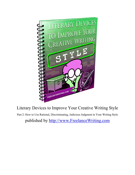

Part 2: How to Use Rational, Discriminating, Judicious Judgment in Your Writing Style published by http://www.FreelanceWriting.com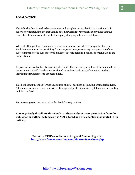#### **LEGAL NOTICE:**

The Publisher has strived to be as accurate and complete as possible in the creation of this report, notwithstanding the fact that he does not warrant or represent at any time that the contents within are accurate due to the rapidly changing nature of the Internet.

While all attempts have been made to verify information provided in this publication, the Publisher assumes no responsibility for errors, omissions, or contrary interpretation of the subject matter herein. Any perceived slights of specific persons, peoples, or organizations are unintentional.

In practical advice books, like anything else in life, there are no guarantees of income made or improvement of skill. Readers are cautioned to reply on their own judgment about their individual circumstances to act accordingly.

This book is not intended for use as a source of legal, business, accounting or financial advice. All readers are advised to seek services of competent professionals in legal, business, accounting, and finance field.

We encourage you to save or print this book for easy reading.

**You may freely distribute this ebook to others without prior permission from the publisher or author, as long as it is NOT altered and this ebook is distributed in its entirety.** 

> **For more FREE e-books on writing and freelancing, visit http://www.freelancewriting.com/ebooks-for-writers.php**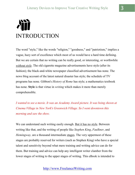# INTRODUCTION

The word "style," like the words "religion," "goodness," and "patriotism," implies a vague, hazy sort of excellence which most of us would have a hard time defining. But we are certain that no writing can be really good, or interesting, or worthwhile *without style*. The old cigarette magazine advertisements have style (after its fashion); the black-and-white newspaper classified advertisement has none. The news blog account of the latest natural disaster has style; the schedule of TV programs has none. Gibbon's *History of Rome* has style; a mathematics textbook has none. **Style** is that virtue in *writing* which makes it more than merely comprehensible.

*I* wanted to see a movie. It was an Academy Award picture. It was being shown at *Cinema Village in New York's Greenwich Village. So I went downtown this morning and saw the show.* 

We can understand such writing easily enough. But it has no style. Between writing like that, and the writing of people like *Stephen King*, *Faulkner*, and *Hemingway*, are a thousand intermediate stages. The very uppermost of these stages are probably reserved for writers (such as Stephen King) who have a special talent and sensitivity beyond what mere training and writing advice can do for them. But training and advice can help any intelligent writer clamber from the lower stages of writing to the upper stages of writing. This eBook is intended to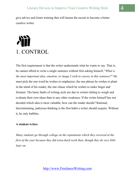give advice and foster training that will hasten the ascent to become a better creative writer.

# 1. CONTROL

The first requirement is that the writer understands what he wants to say. That is, he cannot afford to write a single sentence without first asking himself, "*What is the most important idea, emotion, or image I wish to convey in this sentence?*" He must pick the one word he wishes to emphasize; the one phrase he wishes to plant in the mind of his reader; the one clause which he wishes to make linger and ferment. The basic faults of writing style are due to writers failing to weigh and evaluate their own ideas than to any other weakness. If the writer himself has not decided which idea is most valuable, how can the reader decide? Rational, discriminating, judicious thinking is the first habit a writer should acquire. Without it, he only babbles.

#### **A student writes**:

*Many students go through college on the reputations which they received at the first of the year because they did extra-hard work then, though they do very little later on.*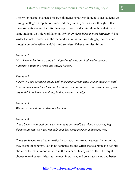The writer has not evaluated his own thoughts here. One thought is that students go through college on reputations received early in the year; another thought is that these students worked hard for their reputations; and a third thought is that these same students do little work later on. *Which of these ideas is most important?* The writer had not decided, and the reader does not know. Accordingly, the sentence, though comprehensible, is flabby and styleless. Other examples follow:

#### *Example 1:*

*Mrs. Rhymes had on an old pair of garden gloves, and had evidently been puttering among the ferns and azalea bushes.* 

#### *Example 2:*

*Surely you are not in sympathy with those people who raise one of their own kind to prominence and then hurl muck at their own creations, as we know some of our city politicians have been doing in the present campaign.* 

*Example 3: We had expected him to live, but he died.* 

#### *Example 4:*

 *I had been vaccinated and was immune to the smallpox which was sweeping through the city; so I had felt safe, and had come there on a business trip.* 

These sentences are all grammatically correct; they are not necessarily un-unified; they are not incoherent. But in no sentence has the writer made a plain and definite choice of the most important idea in the sentence. In any one of them he might choose one of several ideas as the most important, and construct a new and better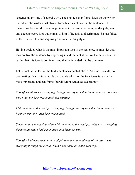sentence in any one of several ways. The choice never forces itself on the writer; but rather, the writer must always force his own choice on the sentence. This means that he should have enough intellect to make a decision, render judgment, and execute every idea that comes to him. If he fails to discriminate, he has failed in the first step toward acquiring a rational writing style.

Having decided what is the most important idea in the sentence, he must let that idea control the sentence by appearing in a dominant structure. He must show the reader that this idea is dominant, and that he intended it to be dominant.

Let us look at the last of the faulty sentences quoted above. As it now stands, no dominating idea controls it. He can decide which of the four ideas is really the most important, and can frame four different sentences accordingly :

*Though smallpox was sweeping through the city to which I had come on a business trip, I, having been vaccinated, felt immune.* 

*I felt immune to the smallpox sweeping through the city to which I had come on a business trip, for I had been vaccinated.* 

*Since I had been vaccinated and felt immune to the smallpox which was sweeping through the city, I had come there on a business trip.* 

*Though I had been vaccinated and felt immune, an epidemic of smallpox was sweeping through the city to which I had come on a business trip.*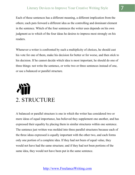Each of these sentences has a different meaning, a different implication from the others; each puts forward a different idea as the controlling and dominant element in the sentence. Which of the four sentences the writer uses depends on his own judgment as to which of the four ideas he desires to impress most strongly on his readers.

Whenever a writer is confronted by such a multiplicity of choices, he should cast his vote for one of them, make his decision for better or for worse, and then stick to his decision. If he cannot decide which idea is most important, he should do one of three things: not write the sentence, or write two or three sentences instead of one, or use a balanced or parallel structure.

# 2. STRUCTURE

A balanced or parallel structure is one in which the writer has considered two or more ideas of equal importance, has believed they supplement one another, and has expressed their equality by placing them in similar structures within one sentence. The sentence just written was molded into three parallel structures because each of the three ideas expressed is equally important with the other two, and each forms only one portion of a complete idea. If they had not been of equal value, they would not have had the same structure; and if they had not been portions of the same idea, they would not have been put in the same sentence.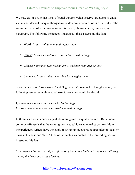We may call it a rule that ideas of equal thought-value deserve structures of equal value, and ideas of unequal thought-value deserve structures of unequal value. The ascending order of structure-value is this: word, phrase, clause, sentence, and paragraph. The following sentences illustrate all these stages but the last:

- Word: *I saw armless men and legless men.*
- Phrase: *I saw men without arms and men without legs.*
- Clause: *I saw men who had no arms, and men who had no legs.*
- Sentence: *I saw armless men. And I saw legless men.*

Since the ideas of "armlessness" and "leglessness" are equal in thought-value, the following sentences with unequal structure-values would be absurd:

**1)** *I saw armless men, and men who had no legs.* **2)** *I saw men who had no arms, arid men without legs.*

In these last two sentences, equal ideas are given unequal structures. But a more common offense is that the writer gives unequal ideas to equal structures. Many inexperienced writers have the habit of stringing together a hodgepodge of ideas by means of "ands" and "buts." One of the sentences quoted in the preceding section illustrates this fault:

*Mrs. Rhymes had on an old pair of cotton gloves, and had evidently been puttering among the ferns and azalea bushes.*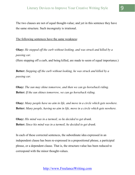The two clauses are not of equal thought-value; and yet in this sentence they have the same structure. Such incongruity is irrational.

The following sentences have the same weakness:

**Okay:** *He stepped off the curb without looking, and was struck and killed by a passing car.* 

(Here stepping off a curb, and being killed, are made to seem of equal importance.)

**Better:** *Stepping off the curb without looking, he was struck and killed by a passing car.* 

**Okay:** *The sun may shine tomorrow, and then we can go horseback riding.*  **Better:** *If the sun shines tomorrow, we can go horseback riding.* 

**Okay:** *Many people have no aim in life, and move in a circle which gets nowhere.*  **Better:** *Many people, having no aim in life, move in a circle which gets nowhere.* 

**Okay:** *His mind was in a turmoil, so he decided to get drunk.*  **Better:** *Since his mind was in a turmoil, he decided to get drunk.* 

In each of these corrected sentences, the subordinate idea expressed in an independent clause has been re-expressed in a prepositional phrase, a participial phrase, or a dependent clause. That is, the structure-value has been reduced to correspond with the minor thought-values.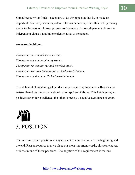Sometimes a writer finds it necessary to do the opposite; that is, to make an important idea *really* seem important. The writer accomplishes this feat by raising words to the rank of phrases, phrases to dependent clauses, dependent clauses to independent clauses, and independent clauses to sentences.

#### **An example follows**:

*Thompson was a much-traveled man. Thompson was a man of many travels. Thompson was a man who had traveled much. Thompson, who was the man for us, had traveled much. Thompson was the man. He had traveled much.* 

This deliberate heightening of an idea's importance requires more self-conscious artistry than does the proper subordination spoken of above. This heightening is a positive search for excellence; the other is merely a negative avoidance of error.

# 3. POSITION

The most important positions in any element of composition are the beginning and the end. Reason requires that we place our most important words, phrases, clauses, or ideas in one of these positions. The negative of this requirement is that we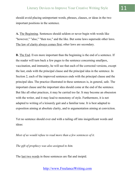should avoid placing unimportant words, phrases, clauses, or ideas in the two important positions in the sentence.

**A.** The Beginning. Sentences should seldom or never begin with words like "however," "also," "then too," and the like. But some laws supersede other laws. The law of clarity always comes first; other laws are secondary.

**B.** The End. Even more important than the beginning is the end of a sentence. If the reader will turn back a few pages to the sentence concerning smallpox, vaccination, and immunity, he will see that each of the corrected versions, except the last, ends with the principal clause and the principal idea in the sentence. In Section 2, each of the improved sentences ends with the principal clause and the principal idea. The practice illustrated in these sentences is, in general, safe. The important clause and the important idea should come at the end of the sentence. But like all other practices, it may be carried too far. It may become an obsession with the writer, and it may lead to monotony of style. Furthermore, it is not adapted to writing of a leisurely gait and a familiar tone. It is best adapted to exposition aiming at absolute clarity, and to argumentation aiming at conviction.

Yet no sentence should ever end with a tailing off into insignificant words and ideas:

*Most of us would refuse to read more than a few sentences of it.* 

*The gift of prophecy was also assigned to him.* 

The last two words in these sentences are flat and insipid.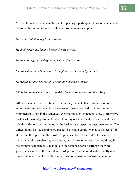Most untrained writers have the habit of placing a participial phrase or a dependent clause at the end of a sentence. Here are some more examples:

*Her voice failed, being broken by sobs.* 

*He died yesterday, having been sick only a week.* 

*He took to begging, being on the verge of starvation.* 

*She raised her hands in prayer to Neptune as she stood by the sea.* 

*He would not answer, though I rang the bell several times.* 

( This last sentence is almost a model of what a sentence should not be.)

All these sentences are irrational because they indicate that certain ideas are subordinate, and yet they place these subordinate ideas and structures in the prominent position in the sentences. A writer of such sentences is like a strawberry packer who would go to the trouble of culling out inferior stock, and would then pile this inferior stock at the top of the basket for prospective customers to see. The writer should be like a real berry-packer; he should carefully choose the best of his stock, and then pile it in the most conspicuous place at the end of the sentence. If he has a word to emphasize, or a phrase, or a clause, or an idea, he should juggle the grammatical elements, manipulate the sentence-parts, rearrange the wordgroup, so as to make the important word, phrase, clause, or idea drop neatly into the prominent place. In a ballet dance, the chorus marches, wheels, converges,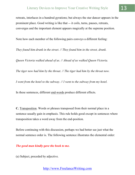retreats, interlaces in a hundred gyrations; but always the star dancer appears in the prominent place. Good writing is like that — it coils, turns, pauses, retreats, converges and the important element appears magically at the supreme position.

Note how each member of the following pairs conveys a different feeling:

*They found him drunk in the street. // They found him in the street, drunk.* 

*Queen Victoria walked ahead of us. // Ahead of us walked Queen Victoria.* 

*The tiger now had him by the throat. // The tiger had him by the throat now.* 

*I went from the hotel to the subway. // I went to the subway from my hotel.* 

In these sentences, different end-words produce different effects.

**C.** Transposition. Words or phrases transposed from their normal place in a sentence usually gain in emphasis. This rule holds good except in sentences where transposition takes a word away from the end-position.

Before continuing with this discussion, perhaps we had better see just what the normal sentence order is. The following sentence illustrates the elemental order:

#### *The good man kindly gave the book to me.*

(a) Subject, preceded by adjective.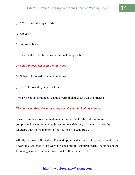- ( b ) Verb, preceded by adverb.
- (c) Object.
- (d) Indirect object.

This elemental order has a few additional complexities:

### *The man in gray talked in a high voice.*

- (a) Subject, followed by adjective phrase.
- (b) Verb, followed by adverbial phrase.
- This order holds for adjective and adverbial clauses as well as phrases :

### *The man who lived down the street talked when he had the chance.*

These examples show the fundamental orders. As for the order in more complicated sentences, the reader can more safely rely on his instinct for the language than on his memory of half-a-dozen special rules.

All this has been a digression. The main point is that we can focus our attention on a word in a sentence if that word is placed out of its natural order. The italics in the following sentences indicate words out of their natural order: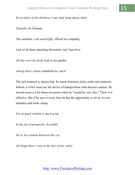*Everywhere in the darkness*, I saw men lying about, *dead*.

*Patiently*, he listened.

The sunshine, *cold and bright*, offered no sympathy.

Last of all these marching thousands *rode Napoleon*.

*All day were the birds* loud in my garden.

*Among these visions* wandered *my spirit*.

The last sentence is almost bad. So much distortion looks artful and insincere. Indeed, a writer must use the device of transposition with discreet caution. He should reserve it for those occasions when he "would be very fine." There it is effective. But if he uses it every time he has the opportunity to do so, it soon tarnishes and looks cheap.

*For in much wisdom is much grief.* 

*In the day of prosperity, be joyful.* 

*He by his wisdom delivered the city.* 

*All things have I seen in the days of my vanity.*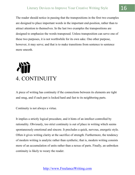The reader should notice in passing that the transpositions in the first two examples are designed to place important words in the important end-position, rather than to attract attention to themselves. In the last two examples the transpositions are designed to emphasize the words transposed. Unless transposition can serve one of these two purposes, it is not worthwhile for its own sake. One other purpose, however, it may serve; and that is to make transitions from sentence to sentence more smooth.

# 4. CONTINUITY

A piece of writing has continuity if the connections between its elements are tight and snug, and if each part is locked hard and fast to its neighboring parts.

Continuity is not always a virtue.

It implies a strictly logical procedure, and it hints of an intellect controlled by rationality. Obviously, too strict continuity is out of place in writing which seems spontaneously emotional and sincere. It precludes a quick, nervous, energetic style. Often it gives writing clarity at the sacrifice of strength. Furthermore, the tendency of modern writing is analytic rather than synthetic; that is, modern writing consists more of an accumulation of units rather than a nexus of parts. Finally, an unbroken continuity is likely to weary the reader.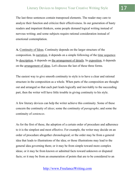The last three sentences contain transposed elements. The reader may care to analyze their function and criticize their effectiveness. In our generation of hasty readers and impatient thinkers, some people demand logical writing instead of nervous writing; and some subjects require rational consideration instead of emotional contemplation.

**A.** Continuity of Ideas. Continuity depends on the larger structure of the composition. In narration, it depends on a simple following of the time sequence. In <u>description</u>, it depends on the arrangement of details. In exposition, it depends on the arrangement of ideas. Let's discuss the last of these three forms.

The easiest way to give smooth continuity to style is to have a clear and rational structure in the composition as a whole. When parts of the composition are thought out and arranged so that each part leads logically and inevitably to the succeeding part, then the writer will have little trouble in giving continuity to his style.

A few literary devices can help the writer achieve this continuity. Some of these concern the continuity of *ideas*; some the continuity of *paragraphs*; and some the continuity of *sentences*.

As for the first of these, the adoption of a certain order of procedure and adherence to it is the simplest and most effective. For example, the writer may decide on an order of procedure altogether chronological; or the order may be from a general idea that leads to illustrations of the idea; or those illustrations may lead to the general idea governing them; or it may be from simple toward more complex ideas; or it may be from known or admitted facts toward unknown or disputed facts; or it may be from an enumeration of points that are to be considered to an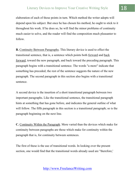elaboration of each of those points in turn. Which method the writer adopts will depend upon his subject. But once he has chosen his method, he ought to stick to it throughout his work. If he does so, he will find the minor problems of continuity much easier to solve, and the reader will find the composition much pleasanter to follow.

**B.** Continuity Between Paragraphs. This literary device is used to effect the transitional sentence, that is, a sentence which points both forward and back forward, toward the new paragraph, and back toward the preceding paragraph. This paragraph begins with a transitional sentence. The words "a more" indicate that something has preceded; the rest of the sentence suggests the nature of the new paragraph. The second paragraph in this section also begins with a transitional sentence.

A second device is the insertion of a short transitional paragraph between two important paragraphs. Like the transitional sentence, the transitional paragraph hints at something that has gone before, and indicates the general outline of what will follow. The fifth paragraph in this section is a transitional paragraph; so is the paragraph beginning on the next line.

**C.** Continuity Within the Paragraph. More varied than the devices which make for continuity between paragraphs are those which make for continuity within the paragraph that is, for continuity between sentences.

The first of these is the use of transitional words. In looking over the present section, one would find that the transitional words already used are "therefore,'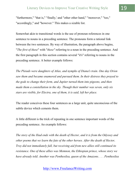"furthermore," "that is," "finally,' and "other other hand," "moreover," "too," "accordingly," and "however." This makes a sizable list.

Somewhat akin to transitional words is the use of pronoun references in one sentence to nouns in a preceding sentence. The pronouns form a rational link between the two sentences. By way of illustration, the paragraph above begins, "*The first of these*" with "*these"* referring to a noun in the preceding sentence. And the first paragraph in this section contains several "it's" referring to nouns in the preceding sentence. A better example follows:

*The Pleiads were daughters of Atlas, and nymphs of Diana's train. One day Orion saw them and became enamored and pursued them. In their distress they prayed to the gods to change their form, and Jupiter turned them into pigeons, and then made them a constellation in the sky. Though their number was seven, only six stars are visible, for Electra, one of them, it is said, left her place.* 

The reader conceives these four sentences as a large unit, quite unconscious of the subtle device which cements them.

A little different is the trick of repeating in one sentence important words of the preceding sentence. An example follows:

*The story of the Iliad ends with the death of Hector, and it is from the Odyssey and other poems that we learn the fate of the other heroes. After the death of Hector, Troy did not immediately fall, but receiving aid from new allies still continued its resistance. One of these allies was Memnon, the Ethiopian prince, whose story we have already told. Another was Penthesilea, queen of the Amazons. . . . Penthesilea*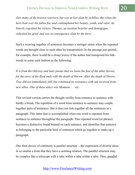*slew many of the bravest warriors, but was at last slain by Achilles. But when the hero bent over his fallen foe, and contemplated her beauty, youth, and valor, he bitterly regretted his victory. Thomas, an insolent brawler and demagogue, ridiculed his grief, and was in consequence slain by the hero.*

Such a weaving together of sentences becomes a stronger union when the repeated words are brought close to each other by transposition. In the passage just quoted, for example, there would be a closer weave if the author had transposed his linkwords in some such fashion as the following:

*It is from the Odyssey and later poems that we learn the fate of the other heroes, for the story of the Iliad ends with the death of Hector. After the death of Hector, Troy did not immediately fall, but continued its resistance with aid received from new allies. One of these attics was Memnon . . . etc.* 

This revised version carries the thought swiftly from sentence to sentence with hardly a break. The repetition of a word from sentence to sentence may couple together pairs of sentences. But it does not link together all the sentences in a paragraph. This latter feat is accomplished when one word is repeated from sentence to sentence throughout the paragraph. This repeated word (or phrase) becomes a distinctive brand burned on each sentence, and identifies that sentence as belonging to the particular herd of sentences which go together to make up a paragraph.

One final device of continuity is parallel structure — the expression of diverse ideas in so similar a form that they have a seeming relation. The parallel structure may be complex like a telescope with a tube within a tube within a tube. Thus, parallel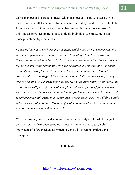words may occur in parallel phrases, which may occur in parallel clauses, which may occur in parallel sentences. In the nineteenth century the device often took the form of antithesis; it was revived in the late twentieth century as a means of unifying a sometimes impressionistic, highly individualistic prose. Here is a passage with multiple parallelisms:

*Essayists, like poets, are born and not made, and for one worth remembering the world is confronted with a hundred not worth reading. Your true essayist is in a literary sense the friend of everybody. . . . He must be personal, or his hearers can feel no manner of interest in him. He must be candid and sincere, or his readers presently see through him. He must have learned to think for himself and to consider his surroundings with an eye that is both kindly and observant, or they straightway find his company unprofitable. He should have fancy, or his starveling propositions will perish for lack of metaphor and the tropes and figures needed to vitalize a truism. He does well to have humor, for humor makes men brothers, and is perhaps more influential in an essay than in most places else. He will find a little wit both serviceable to himself and comfortable to his readers. For wisdom, it is not absolutely necessary that he have it.* 

With this we may leave the discussion of rationality in style. The whole subject demands only a clear understanding of just what one wishes to say, a clear knowledge of a few mechanical principles, and a little care in applying the principles.

#### **- THE END -**